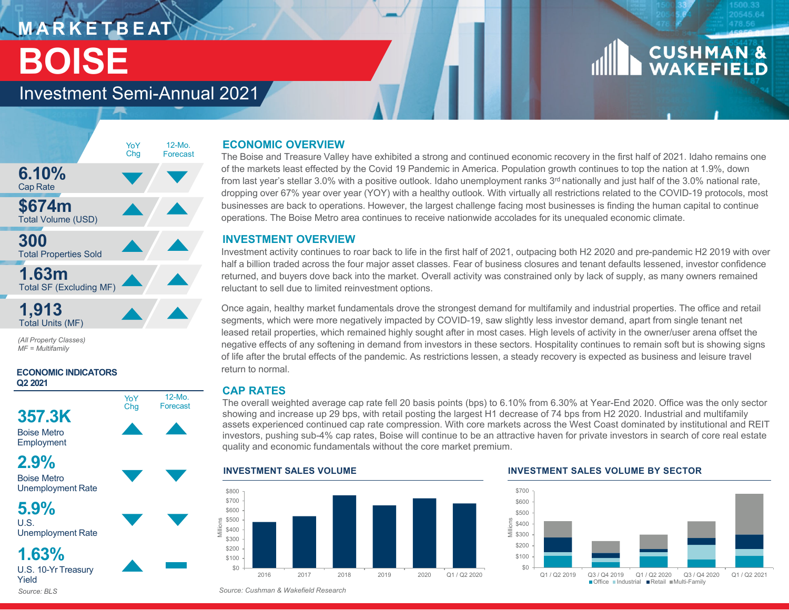## **M A R K E T B E AT BOISE**

# **CUSHMAN &**<br>WAKEFIELD

### Investment Semi-Annual 2021



*(All Property Classes) MF = Multifamily*

### **ECONOMIC INDICATORS Q2 2021**





Unemployment Rate

**5.9%** $\overline{U}$ . S.

Unemployment Rate

**1.63%**U.S. 10-Yr Treasury Yield

*Source: BLS*

### **ECONOMIC OVERVIEW**

The Boise and Treasure Valley have exhibited a strong and continued economic recovery in the first half of 2021. Idaho remains one of the markets least effected by the Covid 19 Pandemic in America. Population growth continues to top the nation at 1.9%, down from last year's stellar 3.0% with a positive outlook. Idaho unemployment ranks 3<sup>rd</sup> nationally and just half of the 3.0% national rate, dropping over 67% year over year (YOY) with a healthy outlook. With virtually all restrictions related to the COVID-19 protocols, most businesses are back to operations. However, the largest challenge facing most businesses is finding the human capital to continue operations. The Boise Metro area continues to receive nationwide accolades for its unequaled economic climate.

### **INVESTMENT OVERVIEW**

Investment activity continues to roar back to life in the first half of 2021, outpacing both H2 2020 and pre-pandemic H2 2019 with over half a billion traded across the four major asset classes. Fear of business closures and tenant defaults lessened, investor confidence returned, and buyers dove back into the market. Overall activity was constrained only by lack of supply, as many owners remained reluctant to sell due to limited reinvestment options.

Once again, healthy market fundamentals drove the strongest demand for multifamily and industrial properties. The office and retail segments, which were more negatively impacted by COVID-19, saw slightly less investor demand, apart from single tenant net leased retail properties, which remained highly sought after in most cases. High levels of activity in the owner/user arena offset the negative effects of any softening in demand from investors in these sectors. Hospitality continues to remain soft but is showing signs of life after the brutal effects of the pandemic. As restrictions lessen, a steady recovery is expected as business and leisure travel return to normal.

### **CAP RATES**

The overall weighted average cap rate fell 20 basis points (bps) to 6.10% from 6.30% at Year-End 2020. Office was the only sector showing and increase up 29 bps, with retail posting the largest H1 decrease of 74 bps from H2 2020. Industrial and multifamily assets experienced continued cap rate compression. With core markets across the West Coast dominated by institutional and REIT investors, pushing sub-4% cap rates, Boise will continue to be an attractive haven for private investors in search of core real estate quality and economic fundamentals without the core market premium.

### $$0$ \$100 \$200 \$300 \$400  $\frac{8}{2}$  \$500<br> $\frac{6}{2}$  \$400 \$600 \$700 \$800 2016 2017 2018 2019 2020 Q1 / Q2 2020**INVESTMENT SALES VOLUME INVESTMENT SALES VOLUME BY SECTOR**



*Source: Cushman & Wakefield Research*